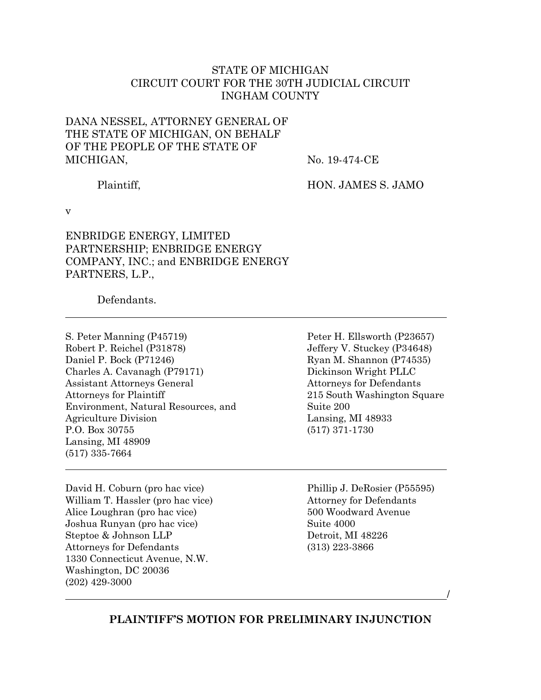## STATE OF MICHIGAN CIRCUIT COURT FOR THE 30TH JUDICIAL CIRCUIT INGHAM COUNTY

## DANA NESSEL, ATTORNEY GENERAL OF THE STATE OF MICHIGAN, ON BEHALF OF THE PEOPLE OF THE STATE OF MICHIGAN,

No. 19-474-CE

Plaintiff,

HON. JAMES S. JAMO

v

ENBRIDGE ENERGY, LIMITED PARTNERSHIP; ENBRIDGE ENERGY COMPANY, INC.; and ENBRIDGE ENERGY PARTNERS, L.P.,

Defendants.

- S. Peter Manning (P45719) Robert P. Reichel (P31878) Daniel P. Bock (P71246) Charles A. Cavanagh (P79171) Assistant Attorneys General Attorneys for Plaintiff Environment, Natural Resources, and Agriculture Division P.O. Box 30755 Lansing, MI 48909 (517) 335-7664
- David H. Coburn (pro hac vice) William T. Hassler (pro hac vice) Alice Loughran (pro hac vice) Joshua Runyan (pro hac vice) Steptoe & Johnson LLP Attorneys for Defendants 1330 Connecticut Avenue, N.W. Washington, DC 20036 (202) 429-3000

Peter H. Ellsworth (P23657) Jeffery V. Stuckey (P34648) Ryan M. Shannon (P74535) Dickinson Wright PLLC Attorneys for Defendants 215 South Washington Square Suite 200 Lansing, MI 48933 (517) 371-1730

Phillip J. DeRosier (P55595) Attorney for Defendants 500 Woodward Avenue Suite 4000 Detroit, MI 48226 (313) 223-3866

/

**PLAINTIFF'S MOTION FOR PRELIMINARY INJUNCTION**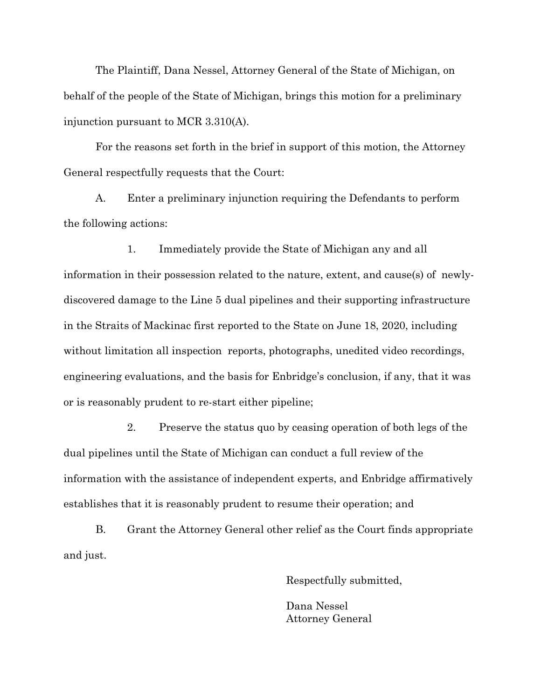The Plaintiff, Dana Nessel, Attorney General of the State of Michigan, on behalf of the people of the State of Michigan, brings this motion for a preliminary injunction pursuant to MCR 3.310(A).

For the reasons set forth in the brief in support of this motion, the Attorney General respectfully requests that the Court:

A. Enter a preliminary injunction requiring the Defendants to perform the following actions:

1. Immediately provide the State of Michigan any and all information in their possession related to the nature, extent, and cause(s) of newlydiscovered damage to the Line 5 dual pipelines and their supporting infrastructure in the Straits of Mackinac first reported to the State on June 18, 2020, including without limitation all inspection reports, photographs, unedited video recordings, engineering evaluations, and the basis for Enbridge's conclusion, if any, that it was or is reasonably prudent to re-start either pipeline;

2. Preserve the status quo by ceasing operation of both legs of the dual pipelines until the State of Michigan can conduct a full review of the information with the assistance of independent experts, and Enbridge affirmatively establishes that it is reasonably prudent to resume their operation; and

B. Grant the Attorney General other relief as the Court finds appropriate and just.

Respectfully submitted,

Dana Nessel Attorney General